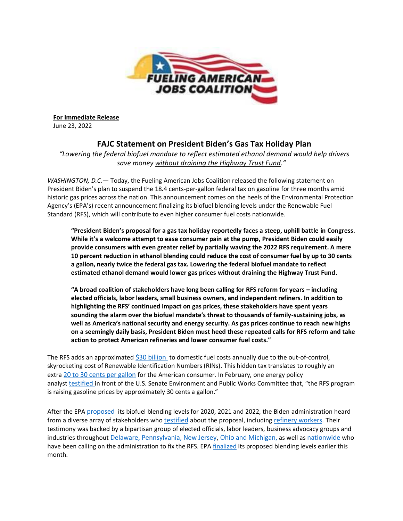

**For Immediate Release** June 23, 2022

## **FAJC Statement on President Biden's Gas Tax Holiday Plan**

*"Lowering the federal biofuel mandate to reflect estimated ethanol demand would help drivers save money without draining the Highway Trust Fund."*

*WASHINGTON, D.C*.— Today, the Fueling American Jobs Coalition released the following statement on President Biden's plan to suspend the 18.4 cents-per-gallon federal tax on gasoline for three months amid historic gas prices across the nation. This announcement comes on the heels of the Environmental Protection Agency's (EPA's) recent announcement finalizing its biofuel blending levels under the Renewable Fuel Standard (RFS), which will contribute to even higher consumer fuel costs nationwide.

**"President Biden's proposal for a gas tax holiday reportedly faces a steep, uphill battle in Congress. While it's a welcome attempt to ease consumer pain at the pump, President Biden could easily provide consumers with even greater relief by partially waving the 2022 RFS requirement. A mere 10 percent reduction in ethanol blending could reduce the cost of consumer fuel by up to 30 cents a gallon, nearly twice the federal gas tax. Lowering the federal biofuel mandate to reflect estimated ethanol demand would lower gas prices without draining the Highway Trust Fund.**

**"A broad coalition of stakeholders have long been calling for RFS reform for years – including elected officials, labor leaders, small business owners, and independent refiners. In addition to highlighting the RFS' continued impact on gas prices, these stakeholders have spent years sounding the alarm over the biofuel mandate's threat to thousands of family-sustaining jobs, as well as America's national security and energy security. As gas prices continue to reach new highs on a seemingly daily basis, President Biden must heed these repeated calls for RFS reform and take action to protect American refineries and lower consumer fuel costs."**

The RFS adds an approximated [\\$30 billion](https://www.fuelingusjobs.com/may-27) to domestic fuel costs annually due to the out-of-control, skyrocketing cost of Renewable Identification Numbers (RINs). This hidden tax translates to roughly an extra [20 to 30 cents per gallon](https://www.fuelingusjobs.com/may-24-lowering-the-rfs-the-most-significant-tool-in-the-toolbox-to-lower-gas-prices) for the American consumer. In February, one energy policy analyst [testified](https://www.epw.senate.gov/public/_cache/files/8/c/8c2e29b8-b783-4b54-8a94-a924c0111f71/6BC5D91D8FFABF0AFDF5F1C68549A435.02-16-2022-pugliaresi-testimony.pdf) in front of the U.S. Senate Environment and Public Works Committee that, "the RFS program is raising gasoline prices by approximately 30 cents a gallon."

After the EPA [proposed](https://www.fuelingusjobs.com/library/public/Statements/Release-Final-EPA-RVO-Announcement-CON-FAJC-2021-12-9.pdf) its biofuel blending levels for 2020, 2021 and 2022, the Biden administration heard from a diverse array of stakeholders who [testified](https://www.fuelingusjobs.com/january-) about the proposal, including [refinery workers](https://www.fuelingusjobs.com/library/public/Letters/Testimony-Refinery-Workers.pdf). Their testimony was backed by a bipartisan group of elected officials, labor leaders, business advocacy groups and industries throughout [Delaware, Pennsylvania, New Jersey](https://www.fuelingusjobs.com/library/public/Letters/East-Coast-Calls-for-RFS-Reform-Updated-2022-06-2-compressed.pdf), [Ohio and Michigan](https://www.fuelingusjobs.com/library/public/Statements/FAJC-Statement-June-2.pdf), as well as [nationwide](https://www.fuelingusjobs.com/map) who have been calling on the administration to fix the RFS. EPA [finalized](https://www.fuelingusjobs.com/library/public/Statements/Release-Final-EPA-s-Final-Rule-for-2020-2021-2022-FAJC-2022-6-3.pdf) its proposed blending levels earlier this month.